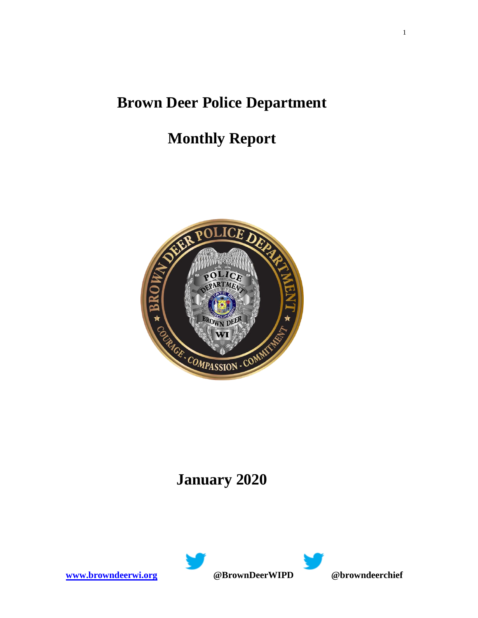## **Brown Deer Police Department**

# **Monthly Report**



## **January 2020**



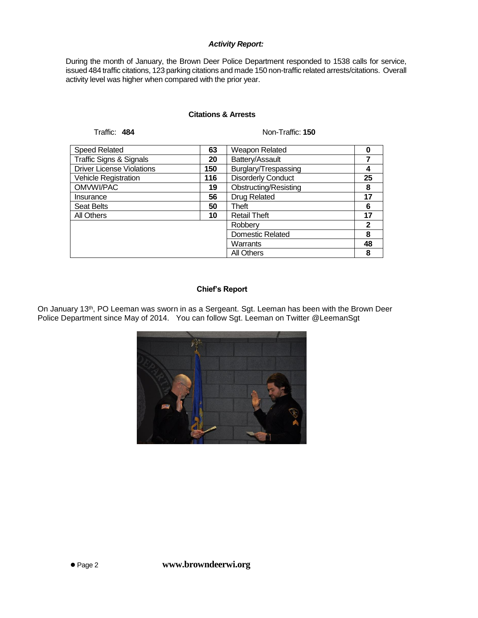#### *Activity Report:*

During the month of January, the Brown Deer Police Department responded to 1538 calls for service, issued 484 traffic citations, 123 parking citations and made 150 non-traffic related arrests/citations. Overall activity level was higher when compared with the prior year.

#### **Citations & Arrests**

Traffic: **484** Non-Traffic: **150**

| <b>Speed Related</b>               | 63  | Weapon Related            |             |
|------------------------------------|-----|---------------------------|-------------|
| <b>Traffic Signs &amp; Signals</b> | 20  | Battery/Assault           |             |
| <b>Driver License Violations</b>   | 150 | Burglary/Trespassing      | 4           |
| Vehicle Registration               | 116 | <b>Disorderly Conduct</b> | 25          |
| OMVWI/PAC                          | 19  | Obstructing/Resisting     | 8           |
| Insurance                          | 56  | <b>Drug Related</b>       | 17          |
| <b>Seat Belts</b>                  | 50  | Theft                     | 6           |
| All Others                         | 10  | <b>Retail Theft</b>       | 17          |
|                                    |     | Robberv                   | $\mathbf 2$ |
|                                    |     | <b>Domestic Related</b>   | 8           |
|                                    |     | Warrants                  | 48          |
|                                    |     | <b>All Others</b>         | 8           |

#### **Chief's Report**

On January 13<sup>th</sup>, PO Leeman was sworn in as a Sergeant. Sgt. Leeman has been with the Brown Deer Police Department since May of 2014. You can follow Sgt. Leeman on Twitter @LeemanSgt

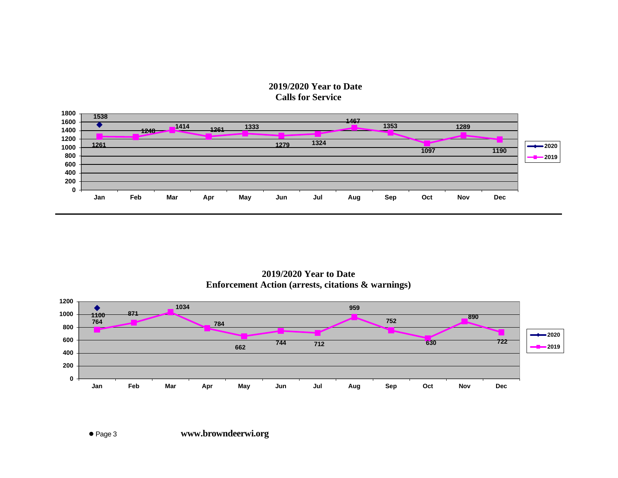### **2019/2020 Year to Date Calls for Service**



**2019/2020 Year to Date Enforcement Action (arrests, citations & warnings)**

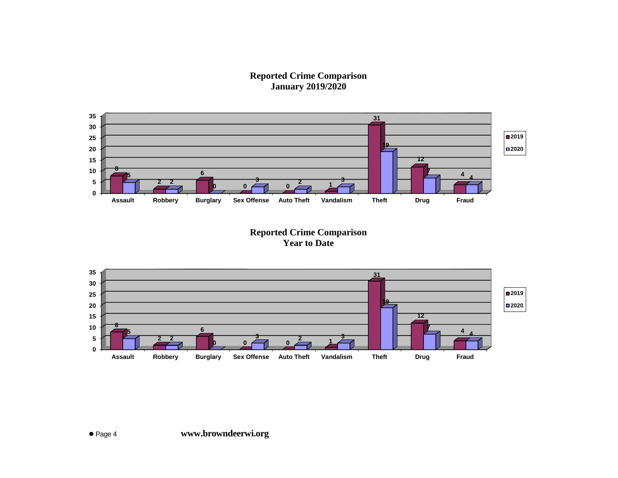**Reported Crime Comparison January 2019/2020**



**Reported Crime Comparison Year to Date**

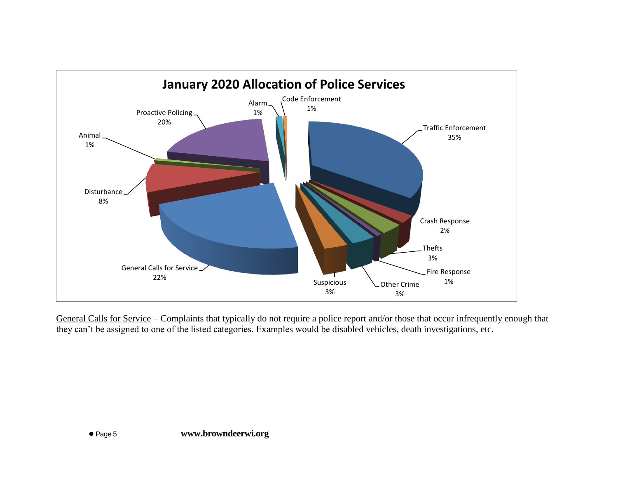

General Calls for Service – Complaints that typically do not require a police report and/or those that occur infrequently enough that they can't be assigned to one of the listed categories. Examples would be disabled vehicles, death investigations, etc.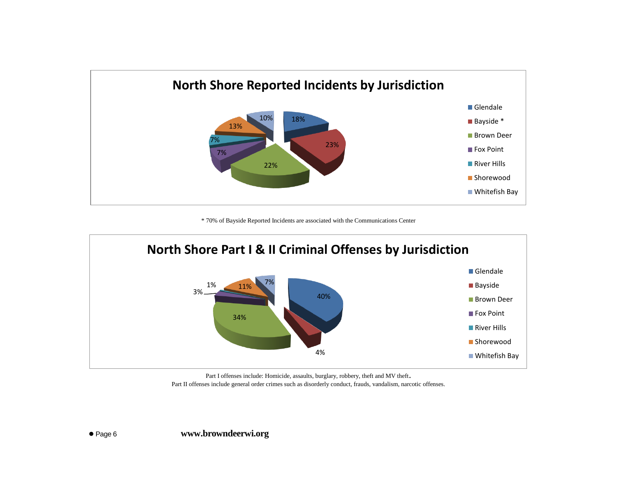

\* 70% of Bayside Reported Incidents are associated with the Communications Center



Part I offenses include: Homicide, assaults, burglary, robbery, theft and MV theft. Part II offenses include general order crimes such as disorderly conduct, frauds, vandalism, narcotic offenses.